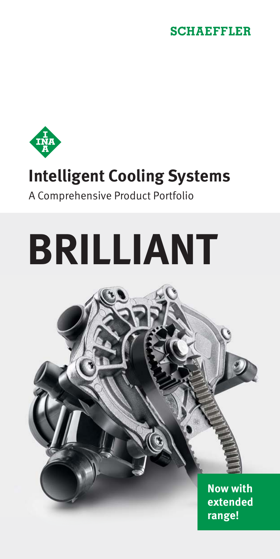## **SCHAEFFLER**



## **Intelligent Cooling Systems**

#### A Comprehensive Product Portfolio

# **BRILLIANT**

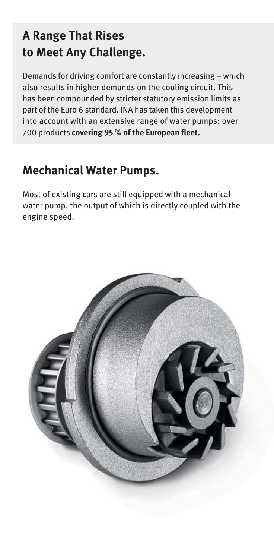## **A Range That Rises to Meet Any Challenge.**

Demands for driving comfort are constantly increasing – which also results in higher demands on the cooling circuit. This has been compounded by stricter statutory emission limits as part of the Euro 6 standard. INA has taken this development into account with an extensive range of water pumps: over 700 products **covering 95 % of the European fleet.**

### **Mechanical Water Pumps.**

Most of existing cars are still equipped with a mechanical water pump, the output of which is directly coupled with the engine speed.

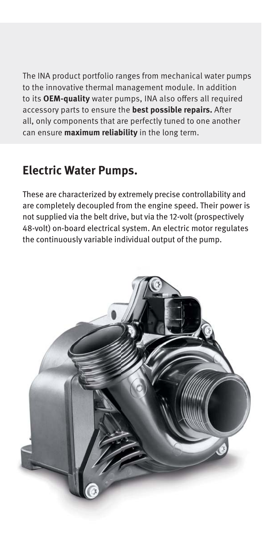The INA product portfolio ranges from mechanical water pumps to the innovative thermal management module. In addition to its OEM-quality water pumps, INA also offers all required accessory parts to ensure the **best possible repairs.** After all, only components that are perfectly tuned to one another can ensure **maximum reliability** in the long term.

### **Electric Water Pumps.**

These are characterized by extremely precise controllability and are completely decoupled from the engine speed. Their power is not supplied via the belt drive, but via the 12-volt (prospectively 48-volt) on-board electrical system. An electric motor regulates the continuously variable individual output of the pump.

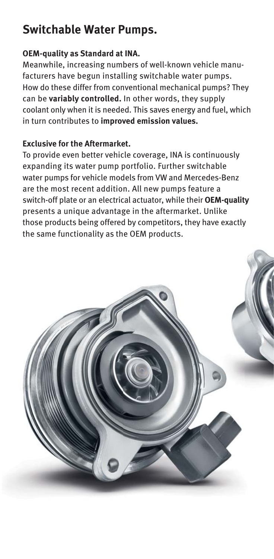## **Switchable Water Pumps.**

#### **OEM-quality as Standard at INA.**

Meanwhile, increasing numbers of well-known vehicle manu facturers have begun installing switchable water pumps. How do these differ from conventional mechanical pumps? They can be **variably controlled.** In other words, they supply coolant only when it is needed. This saves energy and fuel, which in turn contributes to **improved emission values.**

#### **Exclusive for the Aftermarket.**

To provide even better vehicle coverage, INA is continuously expanding its water pump portfolio. Further switchable water pumps for vehicle models from VW and Mercedes-Benz are the most recent addition. All new pumps feature a switch-off plate or an electrical actuator, while their **OEM-quality** presents a unique advantage in the aftermarket. Unlike those products being offered by competitors, they have exactly the same functionality as the OEM products.

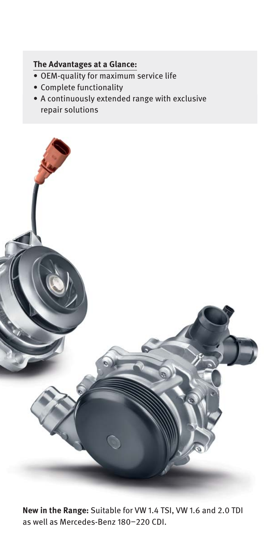#### **The Advantages at a Glance:**

- OEM-quality for maximum service life
- Complete functionality
- A continuously extended range with exclusive repair solutions



**New in the Range:** Suitable for VW 1.4 TSI, VW 1.6 and 2.0 TDI as well as Mercedes-Benz 180–220 CDI.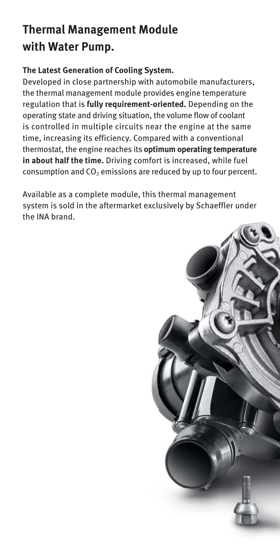## **Thermal Management Module with Water Pump.**

#### **The Latest Generation of Cooling System.**

Developed in close partnership with automobile manufacturers, the thermal management module provides engine temperature regulation that is **fully requirement-oriented.** Depending on the operating state and driving situation, the volume flow of coolant is controlled in multiple circuits near the engine at the same time, increasing its efficiency. Compared with a conventional thermostat, the engine reaches its **optimum operating temperature in about half the time.** Driving comfort is increased, while fuel consumption and  $CO<sub>2</sub>$  emissions are reduced by up to four percent.

Available as a complete module, this thermal management system is sold in the aftermarket exclusively by Schaeffler under the INA brand.

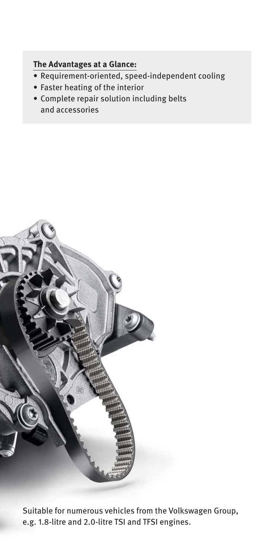#### **The Advantages at a Glance:**

- Requirement-oriented, speed-independent cooling
- Faster heating of the interior
- Complete repair solution including belts and accessories



Suitable for numerous vehicles from the Volkswagen Group, e.g. 1.8-litre and 2.0-litre TSI and TFSI engines.